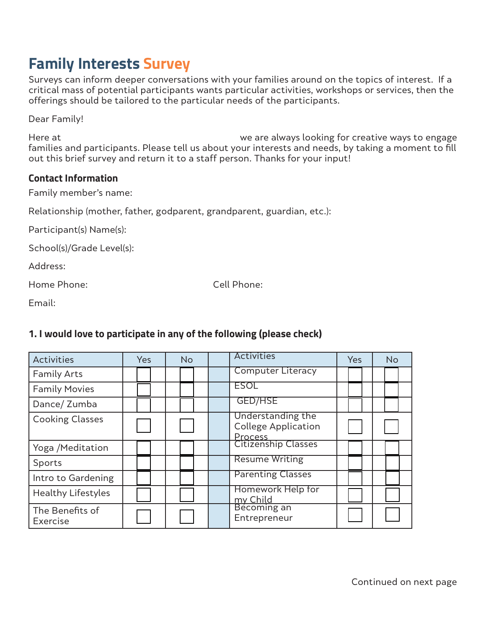# **Family Interests Survey**

Surveys can inform deeper conversations with your families around on the topics of interest. If a critical mass of potential participants wants particular activities, workshops or services, then the offerings should be tailored to the particular needs of the participants.

Dear Family!

Here at **WE are always looking for creative ways to engage** families and participants. Please tell us about your interests and needs, by taking a moment to fill out this brief survey and return it to a staff person. Thanks for your input!

#### **Contact Information**

Family member's name:

Relationship (mother, father, godparent, grandparent, guardian, etc.):

Participant(s) Name(s):

School(s)/Grade Level(s):

Address:

Home Phone: Cell Phone:

Email:

#### **1. I would love to participate in any of the following (please check)**

| Activities                  | <b>Yes</b> | <b>No</b> | <b>Activities</b>                               | Yes | <b>No</b> |
|-----------------------------|------------|-----------|-------------------------------------------------|-----|-----------|
| <b>Family Arts</b>          |            |           | <b>Computer Literacy</b>                        |     |           |
| <b>Family Movies</b>        |            |           | <b>ESOL</b>                                     |     |           |
| Dance/ Zumba                |            |           | <b>GED/HSE</b>                                  |     |           |
| <b>Cooking Classes</b>      |            |           | Understanding the<br><b>College Application</b> |     |           |
| Yoga /Meditation            |            |           | Process<br>Citizenship Classes                  |     |           |
| Sports                      |            |           | <b>Resume Writing</b>                           |     |           |
| Intro to Gardening          |            |           | <b>Parenting Classes</b>                        |     |           |
| <b>Healthy Lifestyles</b>   |            |           | Homework Help for<br>my Child                   |     |           |
| The Benefits of<br>Exercise |            |           | Bécoming an<br>Entrepreneur                     |     |           |